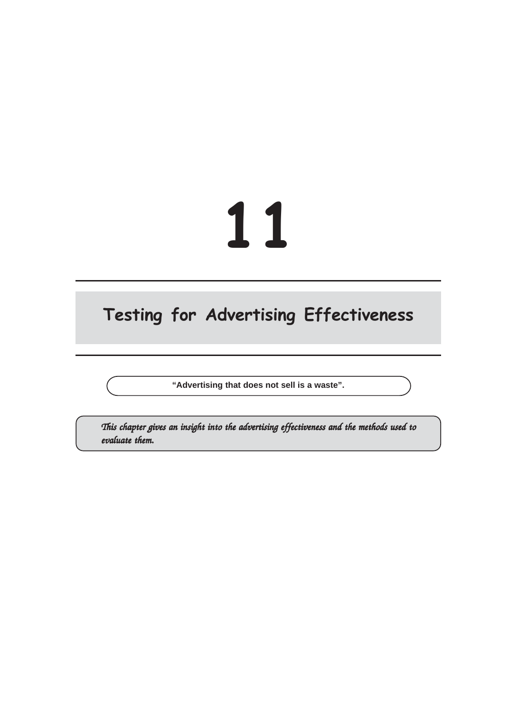# 11

## Testing for Advertising Effectiveness

**"Advertising that does not sell is a waste".**

*This chapter gives an insight into the advertising effectiveness and the methods used to This into the methods to evaluate them. evaluate them.*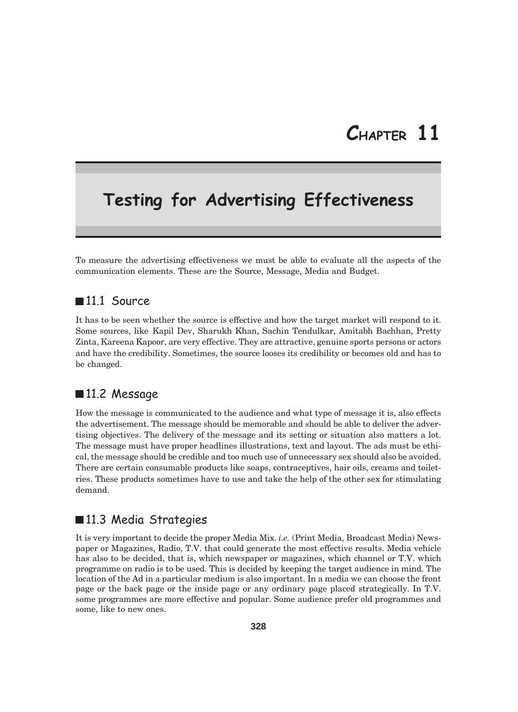## $C$ HAPTFR 11

## Testing for Advertising Effectiveness

To measure the advertising effectiveness we must be able to evaluate all the aspects of the communication elements. These are the Source, Message, Media and Budget.

#### 11.1 Source

It has to be seen whether the source is effective and how the target market will respond to it. Some sources, like Kapil Dev, Sharukh Khan, Sachin Tendulkar, Amitabh Bachhan, Pretty Zinta, Kareena Kapoor, are very effective. They are attractive, genuine sports persons or actors and have the credibility. Sometimes, the source looses its credibility or becomes old and has to be changed.

### 11.2 Message

How the message is communicated to the audience and what type of message it is, also effects the advertisement. The message should be memorable and should be able to deliver the advertising objectives. The delivery of the message and its setting or situation also matters a lot. The message must have proper headlines illustrations, text and layout. The ads must be ethical, the message should be credible and too much use of unnecessary sex should also be avoided. There are certain consumable products like soaps, contraceptives, hair oils, creams and toiletries. These products sometimes have to use and take the help of the other sex for stimulating demand.

### 11.3 Media Strategies

It is very important to decide the proper Media Mix. *i.e.* (Print Media, Broadcast Media) Newspaper or Magazines, Radio, T.V. that could generate the most effective results. Media vehicle has also to be decided, that is, which newspaper or magazines, which channel or T.V. which programme on radio is to be used. This is decided by keeping the target audience in mind. The location of the Ad in a particular medium is also important. In a media we can choose the front page or the back page or the inside page or any ordinary page placed strategically. In T.V. some programmes are more effective and popular. Some audience prefer old programmes and some, like to new ones.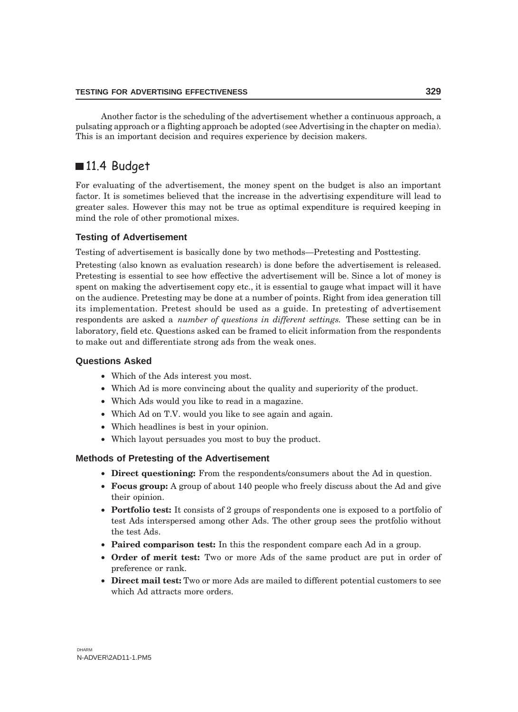Another factor is the scheduling of the advertisement whether a continuous approach, a pulsating approach or a flighting approach be adopted (see Advertising in the chapter on media). This is an important decision and requires experience by decision makers.

#### 11.4 Budget

For evaluating of the advertisement, the money spent on the budget is also an important factor. It is sometimes believed that the increase in the advertising expenditure will lead to greater sales. However this may not be true as optimal expenditure is required keeping in mind the role of other promotional mixes.

#### **Testing of Advertisement**

Testing of advertisement is basically done by two methods—Pretesting and Posttesting.

Pretesting (also known as evaluation research) is done before the advertisement is released. Pretesting is essential to see how effective the advertisement will be. Since a lot of money is spent on making the advertisement copy etc., it is essential to gauge what impact will it have on the audience. Pretesting may be done at a number of points. Right from idea generation till its implementation. Pretest should be used as a guide. In pretesting of advertisement respondents are asked a *number of questions in different settings.* These setting can be in laboratory, field etc. Questions asked can be framed to elicit information from the respondents to make out and differentiate strong ads from the weak ones.

#### **Questions Asked**

- Which of the Ads interest you most.
- Which Ad is more convincing about the quality and superiority of the product.
- Which Ads would you like to read in a magazine.
- Which Ad on T.V. would you like to see again and again.
- Which headlines is best in your opinion.
- Which layout persuades you most to buy the product.

#### **Methods of Pretesting of the Advertisement**

- **Direct questioning:** From the respondents/consumers about the Ad in question.
- **Focus group:** A group of about 140 people who freely discuss about the Ad and give their opinion.
- **Portfolio test:** It consists of 2 groups of respondents one is exposed to a portfolio of test Ads interspersed among other Ads. The other group sees the protfolio without the test Ads.
- **Paired comparison test:** In this the respondent compare each Ad in a group.
- **Order of merit test:** Two or more Ads of the same product are put in order of preference or rank.
- **Direct mail test:** Two or more Ads are mailed to different potential customers to see which Ad attracts more orders.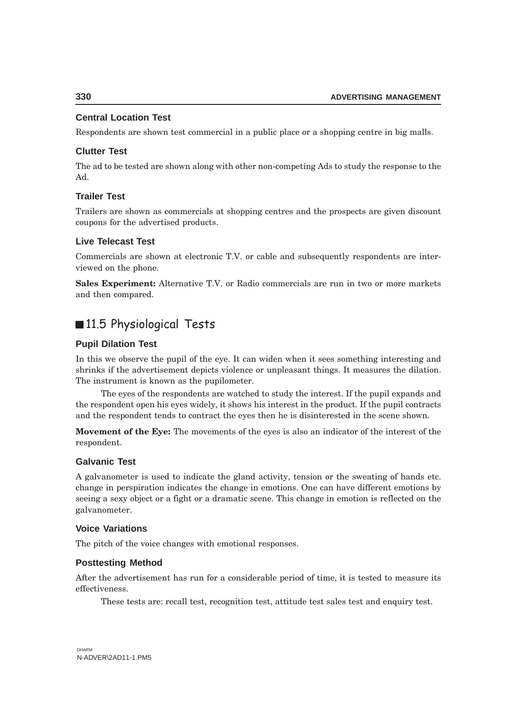#### **Central Location Test**

Respondents are shown test commercial in a public place or a shopping centre in big malls.

#### **Clutter Test**

The ad to be tested are shown along with other non-competing Ads to study the response to the Ad.

#### **Trailer Test**

Trailers are shown as commercials at shopping centres and the prospects are given discount coupons for the advertised products.

#### **Live Telecast Test**

Commercials are shown at electronic T.V. or cable and subsequently respondents are interviewed on the phone.

**Sales Experiment:** Alternative T.V. or Radio commercials are run in two or more markets and then compared.

### 11.5 Physiological Tests

#### **Pupil Dilation Test**

In this we observe the pupil of the eye. It can widen when it sees something interesting and shrinks if the advertisement depicts violence or unpleasant things. It measures the dilation. The instrument is known as the pupilometer.

The eyes of the respondents are watched to study the interest. If the pupil expands and the respondent open his eyes widely, it shows his interest in the product. If the pupil contracts and the respondent tends to contract the eyes then he is disinterested in the scene shown.

**Movement of the Eye:** The movements of the eyes is also an indicator of the interest of the respondent.

#### **Galvanic Test**

A galvanometer is used to indicate the gland activity, tension or the sweating of hands etc. change in perspiration indicates the change in emotions. One can have different emotions by seeing a sexy object or a fight or a dramatic scene. This change in emotion is reflected on the galvanometer.

#### **Voice Variations**

The pitch of the voice changes with emotional responses.

#### **Posttesting Method**

After the advertisement has run for a considerable period of time, it is tested to measure its effectiveness.

These tests are: recall test, recognition test, attitude test sales test and enquiry test.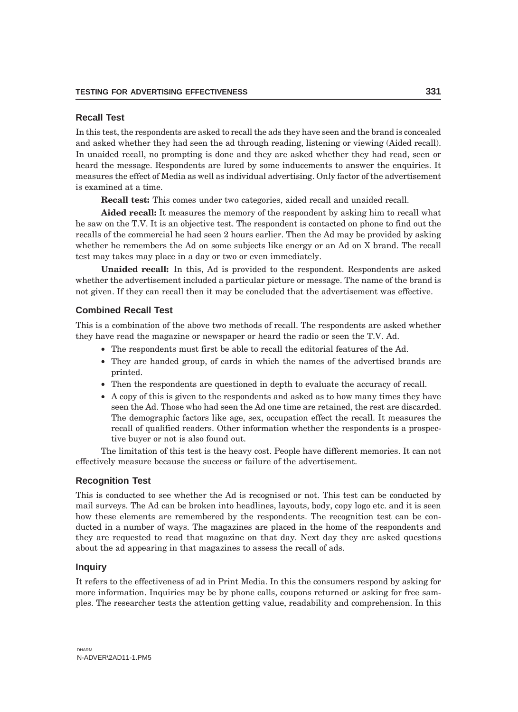#### **Recall Test**

In this test, the respondents are asked to recall the ads they have seen and the brand is concealed and asked whether they had seen the ad through reading, listening or viewing (Aided recall). In unaided recall, no prompting is done and they are asked whether they had read, seen or heard the message. Respondents are lured by some inducements to answer the enquiries. It measures the effect of Media as well as individual advertising. Only factor of the advertisement is examined at a time.

**Recall test:** This comes under two categories, aided recall and unaided recall.

**Aided recall:** It measures the memory of the respondent by asking him to recall what he saw on the T.V. It is an objective test. The respondent is contacted on phone to find out the recalls of the commercial he had seen 2 hours earlier. Then the Ad may be provided by asking whether he remembers the Ad on some subjects like energy or an Ad on X brand. The recall test may takes may place in a day or two or even immediately.

**Unaided recall:** In this, Ad is provided to the respondent. Respondents are asked whether the advertisement included a particular picture or message. The name of the brand is not given. If they can recall then it may be concluded that the advertisement was effective.

#### **Combined Recall Test**

This is a combination of the above two methods of recall. The respondents are asked whether they have read the magazine or newspaper or heard the radio or seen the T.V. Ad.

- The respondents must first be able to recall the editorial features of the Ad.
- They are handed group, of cards in which the names of the advertised brands are printed.
- Then the respondents are questioned in depth to evaluate the accuracy of recall.
- A copy of this is given to the respondents and asked as to how many times they have seen the Ad. Those who had seen the Ad one time are retained, the rest are discarded. The demographic factors like age, sex, occupation effect the recall. It measures the recall of qualified readers. Other information whether the respondents is a prospective buyer or not is also found out.

The limitation of this test is the heavy cost. People have different memories. It can not effectively measure because the success or failure of the advertisement.

#### **Recognition Test**

This is conducted to see whether the Ad is recognised or not. This test can be conducted by mail surveys. The Ad can be broken into headlines, layouts, body, copy logo etc. and it is seen how these elements are remembered by the respondents. The recognition test can be conducted in a number of ways. The magazines are placed in the home of the respondents and they are requested to read that magazine on that day. Next day they are asked questions about the ad appearing in that magazines to assess the recall of ads.

#### **Inquiry**

It refers to the effectiveness of ad in Print Media. In this the consumers respond by asking for more information. Inquiries may be by phone calls, coupons returned or asking for free samples. The researcher tests the attention getting value, readability and comprehension. In this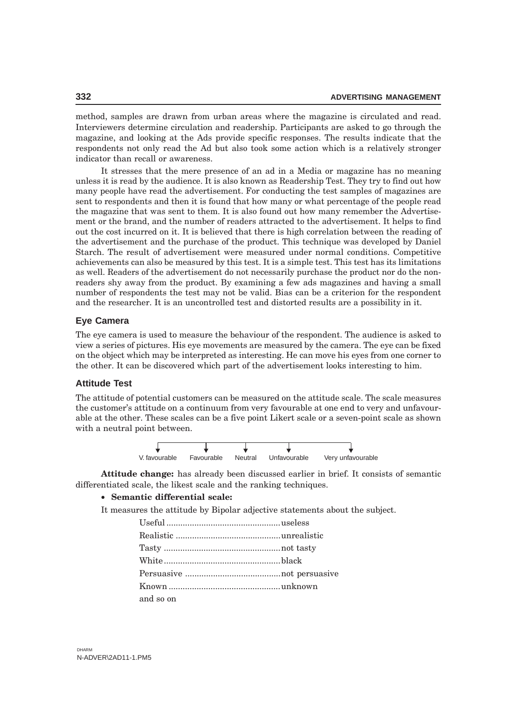method, samples are drawn from urban areas where the magazine is circulated and read. Interviewers determine circulation and readership. Participants are asked to go through the magazine, and looking at the Ads provide specific responses. The results indicate that the respondents not only read the Ad but also took some action which is a relatively stronger indicator than recall or awareness.

It stresses that the mere presence of an ad in a Media or magazine has no meaning unless it is read by the audience. It is also known as Readership Test. They try to find out how many people have read the advertisement. For conducting the test samples of magazines are sent to respondents and then it is found that how many or what percentage of the people read the magazine that was sent to them. It is also found out how many remember the Advertisement or the brand, and the number of readers attracted to the advertisement. It helps to find out the cost incurred on it. It is believed that there is high correlation between the reading of the advertisement and the purchase of the product. This technique was developed by Daniel Starch. The result of advertisement were measured under normal conditions. Competitive achievements can also be measured by this test. It is a simple test. This test has its limitations as well. Readers of the advertisement do not necessarily purchase the product nor do the nonreaders shy away from the product. By examining a few ads magazines and having a small number of respondents the test may not be valid. Bias can be a criterion for the respondent and the researcher. It is an uncontrolled test and distorted results are a possibility in it.

#### **Eye Camera**

The eye camera is used to measure the behaviour of the respondent. The audience is asked to view a series of pictures. His eye movements are measured by the camera. The eye can be fixed on the object which may be interpreted as interesting. He can move his eyes from one corner to the other. It can be discovered which part of the advertisement looks interesting to him.

#### **Attitude Test**

The attitude of potential customers can be measured on the attitude scale. The scale measures the customer's attitude on a continuum from very favourable at one end to very and unfavourable at the other. These scales can be a five point Likert scale or a seven-point scale as shown with a neutral point between.



**Attitude change:** has already been discussed earlier in brief. It consists of semantic differentiated scale, the likest scale and the ranking techniques.

#### • **Semantic differential scale:**

It measures the attitude by Bipolar adjective statements about the subject.

| and so on |  |
|-----------|--|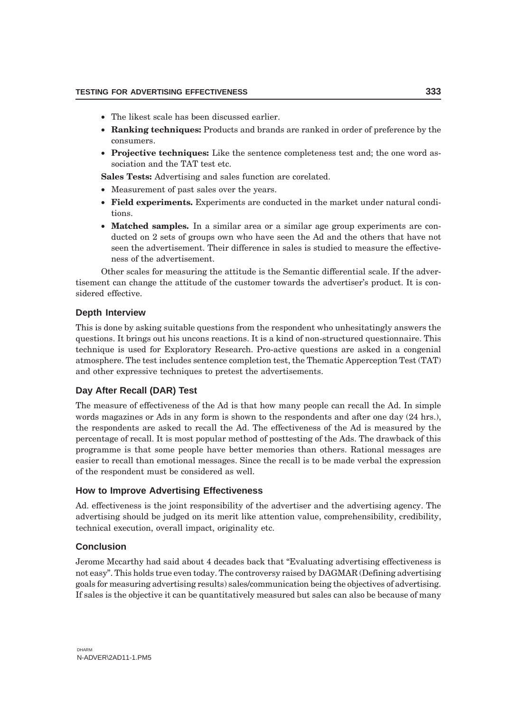- The likest scale has been discussed earlier.
- **Ranking techniques:** Products and brands are ranked in order of preference by the consumers.
- **Projective techniques:** Like the sentence completeness test and; the one word association and the TAT test etc.

**Sales Tests:** Advertising and sales function are corelated.

- Measurement of past sales over the years.
- **Field experiments.** Experiments are conducted in the market under natural conditions.
- **Matched samples.** In a similar area or a similar age group experiments are conducted on 2 sets of groups own who have seen the Ad and the others that have not seen the advertisement. Their difference in sales is studied to measure the effectiveness of the advertisement.

Other scales for measuring the attitude is the Semantic differential scale. If the advertisement can change the attitude of the customer towards the advertiser's product. It is considered effective.

#### **Depth Interview**

This is done by asking suitable questions from the respondent who unhesitatingly answers the questions. It brings out his uncons reactions. It is a kind of non-structured questionnaire. This technique is used for Exploratory Research. Pro-active questions are asked in a congenial atmosphere. The test includes sentence completion test, the Thematic Apperception Test (TAT) and other expressive techniques to pretest the advertisements.

#### **Day After Recall (DAR) Test**

The measure of effectiveness of the Ad is that how many people can recall the Ad. In simple words magazines or Ads in any form is shown to the respondents and after one day (24 hrs.), the respondents are asked to recall the Ad. The effectiveness of the Ad is measured by the percentage of recall. It is most popular method of posttesting of the Ads. The drawback of this programme is that some people have better memories than others. Rational messages are easier to recall than emotional messages. Since the recall is to be made verbal the expression of the respondent must be considered as well.

#### **How to Improve Advertising Effectiveness**

Ad. effectiveness is the joint responsibility of the advertiser and the advertising agency. The advertising should be judged on its merit like attention value, comprehensibility, credibility, technical execution, overall impact, originality etc.

#### **Conclusion**

Jerome Mccarthy had said about 4 decades back that "Evaluating advertising effectiveness is not easy". This holds true even today. The controversy raised by DAGMAR (Defining advertising goals for measuring advertising results) sales/communication being the objectives of advertising. If sales is the objective it can be quantitatively measured but sales can also be because of many